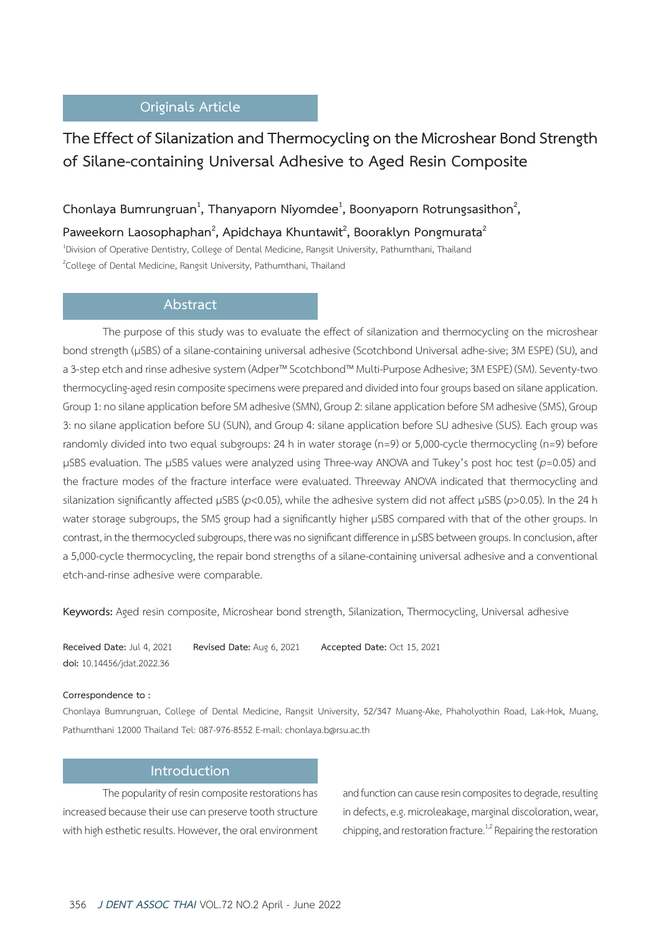## **Originals Article**

# **The Effect of Silanization and Thermocycling on the Microshear Bond Strength of Silane-containing Universal Adhesive to Aged Resin Composite**

# **Chonlaya Bumrungruan<sup>1</sup> , Thanyaporn Niyomdee<sup>1</sup> , Boonyaporn Rotrungsasithon2 ,**

Paweekorn Laosophaphan<sup>2</sup>, Apidchaya Khuntawit<sup>2</sup>, Booraklyn Pongmurata<sup>2</sup> 1 Division of Operative Dentistry, College of Dental Medicine, Rangsit University, Pathumthani, Thailand <sup>2</sup>College of Dental Medicine, Rangsit University, Pathumthani, Thailand

## **Abstract**

The purpose of this study was to evaluate the effect of silanization and thermocycling on the microshear bond strength (µSBS) of a silane-containing universal adhesive (Scotchbond Universal adhe-sive; 3M ESPE) (SU), and a 3-step etch and rinse adhesive system (Adper™ Scotchbond™ Multi-Purpose Adhesive; 3M ESPE) (SM). Seventy-two thermocycling-aged resin composite specimens were prepared and divided into four groups based on silane application. Group 1: no silane application before SM adhesive (SMN), Group 2: silane application before SM adhesive (SMS), Group 3: no silane application before SU (SUN), and Group 4: silane application before SU adhesive (SUS). Each group was randomly divided into two equal subgroups: 24 h in water storage (n=9) or 5,000-cycle thermocycling (n=9) before µSBS evaluation. The µSBS values were analyzed using Three-way ANOVA and Tukey's post hoc test (*p*=0.05) and the fracture modes of the fracture interface were evaluated. Threeway ANOVA indicated that thermocycling and silanization significantly affected µSBS (*p*<0.05), while the adhesive system did not affect µSBS (*p*>0.05). In the 24 h water storage subgroups, the SMS group had a significantly higher µSBS compared with that of the other groups. In contrast, in the thermocycled subgroups, there was no significant difference in µSBS between groups. In conclusion, after a 5,000-cycle thermocycling, the repair bond strengths of a silane-containing universal adhesive and a conventional etch-and-rinse adhesive were comparable.

**Keywords:** Aged resin composite, Microshear bond strength, Silanization, Thermocycling, Universal adhesive

**Received Date:** Jul 4, 2021 **Revised Date:** Aug 6, 2021 **Accepted Date:** Oct 15, 2021 **doi:** 10.14456/jdat.2022.36

#### **Correspondence to :**

Chonlaya Bumrungruan, College of Dental Medicine, Rangsit University, 52/347 Muang-Ake, Phaholyothin Road, Lak-Hok, Muang, Pathumthani 12000 Thailand Tel: 087-976-8552 E-mail: chonlaya.b@rsu.ac.th

#### **Introduction**

The popularity of resin composite restorations has increased because their use can preserve tooth structure with high esthetic results. However, the oral environment and function can cause resin composites to degrade, resulting in defects, e.g. microleakage, marginal discoloration, wear, chipping, and restoration fracture.<sup>1,2</sup> Repairing the restoration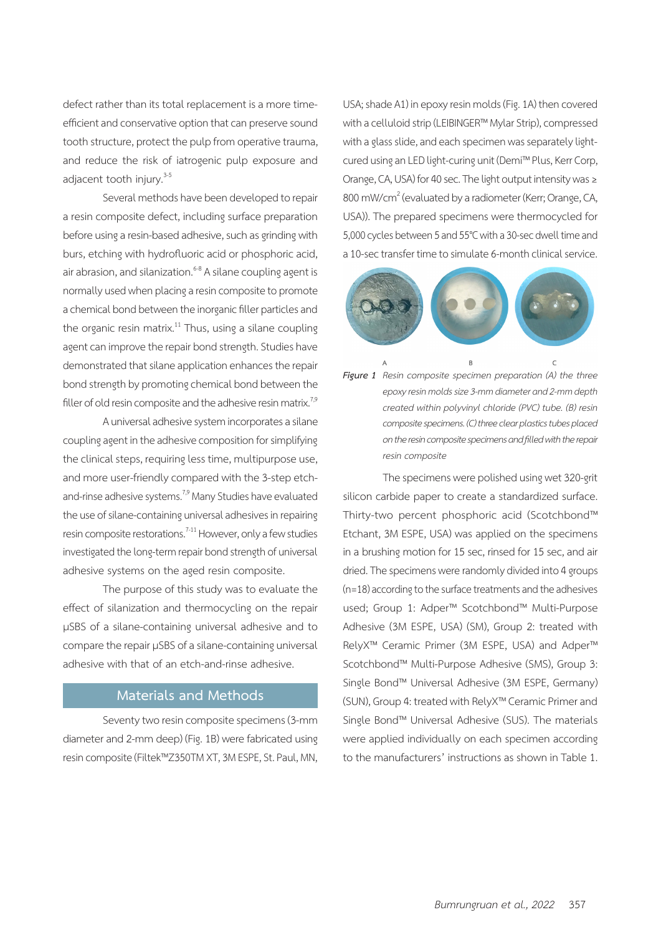defect rather than its total replacement is a more timeefficient and conservative option that can preserve sound tooth structure, protect the pulp from operative trauma, and reduce the risk of iatrogenic pulp exposure and adjacent tooth injury.<sup>3-5</sup>

Several methods have been developed to repair a resin composite defect, including surface preparation before using a resin-based adhesive, such as grinding with burs, etching with hydrofluoric acid or phosphoric acid, air abrasion, and silanization.<sup>6-8</sup> A silane coupling agent is normally used when placing a resin composite to promote a chemical bond between the inorganic filler particles and the organic resin matrix.<sup>11</sup> Thus, using a silane coupling agent can improve the repair bond strength. Studies have demonstrated that silane application enhances the repair bond strength by promoting chemical bond between the filler of old resin composite and the adhesive resin matrix.<sup>7,9</sup>

A universal adhesive system incorporates a silane coupling agent in the adhesive composition for simplifying the clinical steps, requiring less time, multipurpose use, and more user-friendly compared with the 3-step etchand-rinse adhesive systems.<sup>7,9</sup> Many Studies have evaluated the use of silane-containing universal adhesives in repairing resin composite restorations.<sup> $7-11$ </sup> However, only a few studies investigated the long-term repair bond strength of universal adhesive systems on the aged resin composite.

The purpose of this study was to evaluate the effect of silanization and thermocycling on the repair µSBS of a silane-containing universal adhesive and to compare the repair µSBS of a silane-containing universal adhesive with that of an etch-and-rinse adhesive.

### **Materials and Methods**

Seventy two resin composite specimens (3-mm diameter and 2-mm deep) (Fig. 1B) were fabricated using resin composite (Filtek™Z350TM XT, 3M ESPE, St. Paul, MN, USA; shade A1) in epoxy resin molds (Fig. 1A) then covered with a celluloid strip (LEIBINGER™ Mylar Strip), compressed with a glass slide, and each specimen was separately lightcured using an LED light-curing unit (Demi™ Plus, Kerr Corp, Orange, CA, USA) for 40 sec. The light output intensity was ≥ 800 mW/cm<sup>2</sup> (evaluated by a radiometer (Kerr; Orange, CA, USA)). The prepared specimens were thermocycled for 5,000 cycles between 5 and 55°C with a 30-sec dwell time and a 10-sec transfer time to simulate 6-month clinical service.





The specimens were polished using wet 320-grit silicon carbide paper to create a standardized surface. Thirty-two percent phosphoric acid (Scotchbond™ Etchant, 3M ESPE, USA) was applied on the specimens in a brushing motion for 15 sec, rinsed for 15 sec, and air dried. The specimens were randomly divided into 4 groups (n=18) according to the surface treatments and the adhesives used; Group 1: Adper™ Scotchbond™ Multi-Purpose Adhesive (3M ESPE, USA) (SM), Group 2: treated with RelyX™ Ceramic Primer (3M ESPE, USA) and Adper™ Scotchbond™ Multi-Purpose Adhesive (SMS), Group 3: Single Bond™ Universal Adhesive (3M ESPE, Germany) (SUN), Group 4: treated with RelyX™ Ceramic Primer and Single Bond™ Universal Adhesive (SUS). The materials were applied individually on each specimen according to the manufacturers' instructions as shown in Table 1.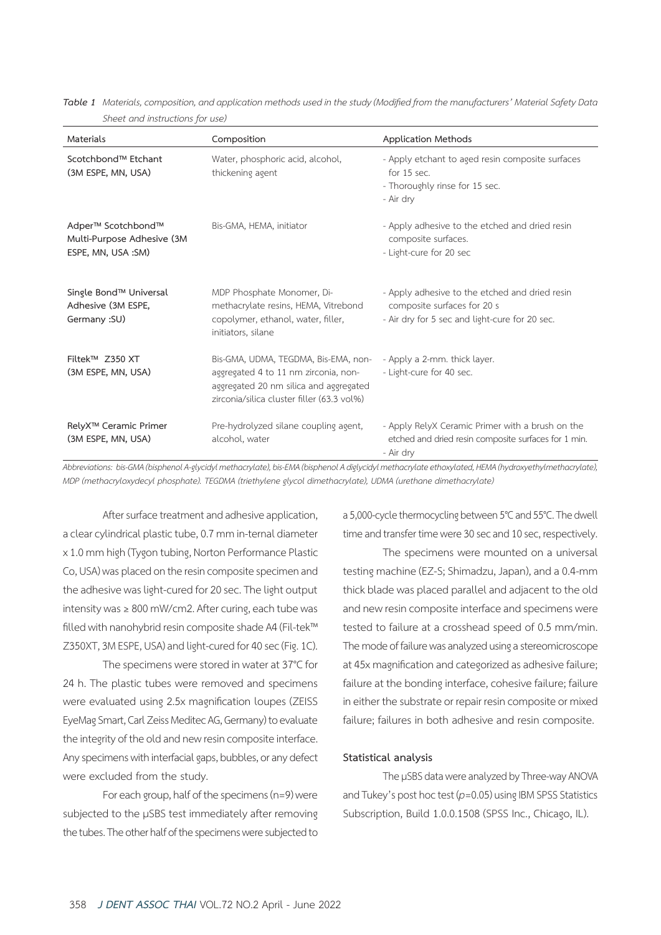| sheet and mod <b>ations</b> for asc                                    |                                                                                                                                                                      |                                                                                                                                 |  |  |
|------------------------------------------------------------------------|----------------------------------------------------------------------------------------------------------------------------------------------------------------------|---------------------------------------------------------------------------------------------------------------------------------|--|--|
| Materials                                                              | Composition                                                                                                                                                          | <b>Application Methods</b>                                                                                                      |  |  |
| Scotchbond™ Etchant<br>(3M ESPE, MN, USA)                              | Water, phosphoric acid, alcohol,<br>thickening agent                                                                                                                 | - Apply etchant to aged resin composite surfaces<br>for 15 sec.<br>- Thoroughly rinse for 15 sec.<br>- Air dry                  |  |  |
| Adper™ Scotchbond™<br>Multi-Purpose Adhesive (3M<br>ESPE, MN, USA :SM) | Bis-GMA, HEMA, initiator                                                                                                                                             | - Apply adhesive to the etched and dried resin<br>composite surfaces.<br>- Light-cure for 20 sec                                |  |  |
| Single Bond™ Universal<br>Adhesive (3M ESPE,<br>Germany : SU)          | MDP Phosphate Monomer, Di-<br>methacrylate resins, HEMA, Vitrebond<br>copolymer, ethanol, water, filler,<br>initiators, silane                                       | - Apply adhesive to the etched and dried resin<br>composite surfaces for 20 s<br>- Air dry for 5 sec and light-cure for 20 sec. |  |  |
| Filtek™ Z350 XT<br>(3M ESPE, MN, USA)                                  | Bis-GMA, UDMA, TEGDMA, Bis-EMA, non-<br>aggregated 4 to 11 nm zirconia, non-<br>aggregated 20 nm silica and aggregated<br>zirconia/silica cluster filler (63.3 vol%) | - Apply a 2-mm. thick layer.<br>- Light-cure for 40 sec.                                                                        |  |  |
| RelyX™ Ceramic Primer<br>(3M ESPE, MN, USA)                            | Pre-hydrolyzed silane coupling agent,<br>alcohol, water                                                                                                              | - Apply RelyX Ceramic Primer with a brush on the<br>etched and dried resin composite surfaces for 1 min.<br>- Air dry           |  |  |

*Table 1 Materials, composition,and application methodsused inthestudy (Modified from the manufacturers' MaterialSafety Data Sheet and instructions for use)*

*Abbreviations: bis-GMA (bisphenol A-glycidylmethacrylate), bis-EMA (bisphenol A diglycidylmethacrylateethoxylated, HEMA (hydroxyethylmethacrylate), MDP (methacryloxydecyl phosphate). TEGDMA (triethylene glycol dimethacrylate), UDMA (urethane dimethacrylate)*

After surface treatment and adhesive application, a clear cylindrical plastic tube, 0.7 mm in-ternal diameter x 1.0 mm high (Tygon tubing, Norton Performance Plastic Co, USA) was placed on the resin composite specimen and the adhesive was light-cured for 20 sec. The light output intensity was ≥ 800 mW/cm2. After curing, each tube was filled with nanohybrid resin composite shade A4 (Fil-tek™ Z350XT, 3M ESPE, USA) and light-cured for 40 sec (Fig. 1C).

The specimens were stored in water at 37°C for 24 h. The plastic tubes were removed and specimens were evaluated using 2.5x magnification loupes (ZEISS EyeMag Smart, Carl Zeiss Meditec AG, Germany) to evaluate the integrity of the old and new resin composite interface. Any specimens with interfacial gaps, bubbles, or any defect were excluded from the study.

For each group, half of the specimens (n=9) were subjected to the µSBS test immediately after removing the tubes. The other half of the specimens were subjected to a 5,000-cycle thermocycling between 5°C and 55°C. The dwell time and transfer time were 30 sec and 10 sec, respectively.

The specimens were mounted on a universal testing machine (EZ-S; Shimadzu, Japan), and a 0.4-mm thick blade was placed parallel and adjacent to the old and new resin composite interface and specimens were tested to failure at a crosshead speed of 0.5 mm/min. The mode of failure was analyzed using a stereomicroscope at 45x magnification and categorized as adhesive failure; failure at the bonding interface, cohesive failure; failure in either the substrate or repair resin composite or mixed failure; failures in both adhesive and resin composite.

#### **Statistical analysis**

The µSBS data were analyzed by Three-way ANOVA and Tukey's post hoc test (*p*=0.05) using IBM SPSS Statistics Subscription, Build 1.0.0.1508 (SPSS Inc., Chicago, IL).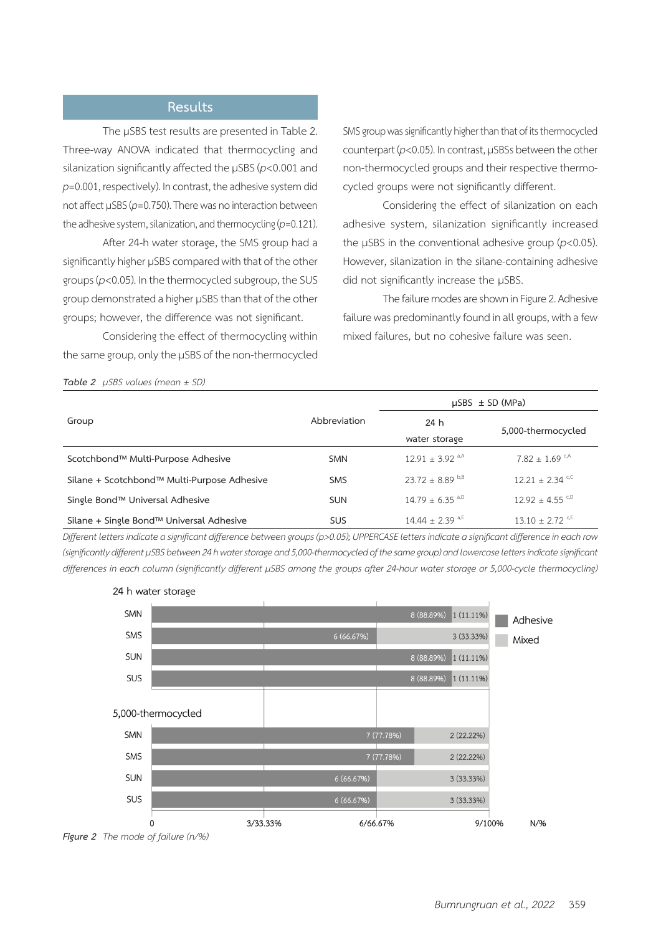### **Results**

The uSBS test results are presented in Table 2. Three-way ANOVA indicated that thermocycling and silanization significantly affected the µSBS (*p*<0.001 and *p*=0.001, respectively). In contrast, the adhesive system did not affect µSBS (*p*=0.750). There was no interaction between the adhesive system, silanization, and thermocycling (*p*=0.121).

After 24-h water storage, the SMS group had a significantly higher µSBS compared with that of the other groups (*p*<0.05). In the thermocycled subgroup, the SUS group demonstrated a higher µSBS than that of the other groups; however, the difference was not significant.

Considering the effect of thermocycling within the same group, only the µSBS of the non-thermocycled SMS group was significantly higher than that of its thermocycled counterpart (*p*<0.05). In contrast, µSBSs between the other non-thermocycled groups and their respective thermocycled groups were not significantly different.

Considering the effect of silanization on each adhesive system, silanization significantly increased the µSBS in the conventional adhesive group (*p*<0.05). However, silanization in the silane-containing adhesive did not significantly increase the µSBS.

The failure modes are shown in Figure 2. Adhesive failure was predominantly found in all groups, with a few mixed failures, but no cohesive failure was seen.

|                                             |              | $\mu$ SBS $\pm$ SD (MPa)        |                                |
|---------------------------------------------|--------------|---------------------------------|--------------------------------|
| Group                                       | Abbreviation | 24 h                            |                                |
|                                             |              | water storage                   | 5,000-thermocycled             |
| Scotchbond™ Multi-Purpose Adhesive          | <b>SMN</b>   | $12.91 \pm 3.92$ <sup>a,A</sup> | $7.82 \pm 1.69$ <sup>c,A</sup> |
| Silane + Scotchbond™ Multi-Purpose Adhesive | <b>SMS</b>   | $23.72 + 8.89$ b,B              | $12.21 + 2.34$ c,c             |
| Single Bond™ Universal Adhesive             | <b>SUN</b>   | $14.79 + 6.35$ <sup>a,D</sup>   | $12.92 + 4.55$ C,D             |
| Silane + Single Bond™ Universal Adhesive    | <b>SUS</b>   | 14.44 $\pm$ 2.39 <sup>a,E</sup> | $13.10 + 2.72$ <sup>c,E</sup>  |

*Different letters indicateasignificant difference betweengroups (p>0.05); UPPERCASEletters indicateasignificant differenceineachrow (significantly different µSBS between24h waterstorageand 5,000-thermocycled of thesamegroup)and lowercaselettersindicatesignificant* differences in each column (significantly different µSBS among the groups after 24-hour water storage or 5,000-cycle thermocycling)



#### 24 h water storage

*Table 2 µSBS values (mean ± SD)*

*Figure 2 The mode of failure (n/%)*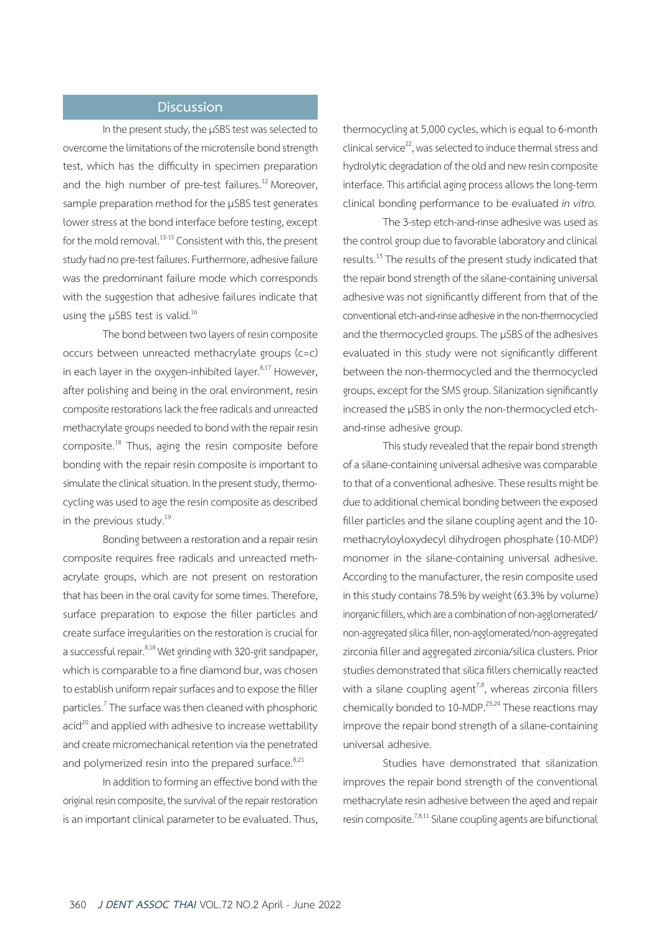### **Discussion**

In the present study, the µSBS test was selected to overcome the limitations of the microtensile bond strength test, which has the difficulty in specimen preparation and the high number of pre-test failures.<sup>12</sup> Moreover, sample preparation method for the µSBS test generates lower stress at the bond interface before testing, except for the mold removal.<sup>13-15</sup> Consistent with this, the present study had no pre-test failures. Furthermore, adhesive failure was the predominant failure mode which corresponds with the suggestion that adhesive failures indicate that using the µSBS test is valid.<sup>16</sup>

The bond between two layers of resin composite occurs between unreacted methacrylate groups (c=c) in each layer in the oxygen-inhibited layer. $8,17$  However, after polishing and being in the oral environment, resin composite restorations lack the free radicals and unreacted methacrylate groups needed to bond with the repair resin composite.18 Thus, aging the resin composite before bonding with the repair resin composite is important to simulate the clinical situation. In the present study, thermocycling was used to age the resin composite as described in the previous study.<sup>19</sup>

Bonding between a restoration and a repair resin composite requires free radicals and unreacted methacrylate groups, which are not present on restoration that has been in the oral cavity for some times. Therefore, surface preparation to expose the filler particles and create surface irregularities on the restoration is crucial for a successful repair.<sup>8,18</sup> Wet grinding with 320-grit sandpaper, which is comparable to a fine diamond bur, was chosen to establish uniform repair surfaces and to expose the filler particles.<sup>7</sup> The surface was then cleaned with phosphoric acid<sup>20</sup> and applied with adhesive to increase wettability and create micromechanical retention via the penetrated and polymerized resin into the prepared surface. $8,21$ 

In addition to forming an effective bond with the original resin composite, the survival of the repair restoration is an important clinical parameter to be evaluated. Thus, thermocycling at 5,000 cycles, which is equal to 6-month clinical service $^{22}$ , was selected to induce thermal stress and hydrolytic degradation of the old and new resin composite interface. This artificial aging process allows the long-term clinical bonding performance to be evaluated *in vitro.*

The 3-step etch-and-rinse adhesive was used as the control group due to favorable laboratory and clinical results.<sup>15</sup> The results of the present study indicated that the repair bond strength of the silane-containing universal adhesive was not significantly different from that of the conventional etch-and-rinse adhesive in the non-thermocycled and the thermocycled groups. The µSBS of the adhesives evaluated in this study were not significantly different between the non-thermocycled and the thermocycled groups, except for the SMS group. Silanization significantly increased the µSBS in only the non-thermocycled etchand-rinse adhesive group.

This study revealed that the repair bond strength of a silane-containing universal adhesive was comparable to that of a conventional adhesive. These results might be due to additional chemical bonding between the exposed filler particles and the silane coupling agent and the 10 methacryloyloxydecyl dihydrogen phosphate (10-MDP) monomer in the silane-containing universal adhesive. According to the manufacturer, the resin composite used in this study contains 78.5% by weight (63.3% by volume) inorganic fillers, which are a combination of non-agglomerated/ non-aggregated silica filler, non-agglomerated/non-aggregated zirconia filler and aggregated zirconia/silica clusters. Prior studies demonstrated that silica fillers chemically reacted with a silane coupling agent<sup>7,8</sup>, whereas zirconia fillers chemically bonded to 10-MDP. $^{23,24}$  These reactions may improve the repair bond strength of a silane-containing universal adhesive.

Studies have demonstrated that silanization improves the repair bond strength of the conventional methacrylate resin adhesive between the aged and repair resin composite.<sup>7,8,11</sup> Silane coupling agents are bifunctional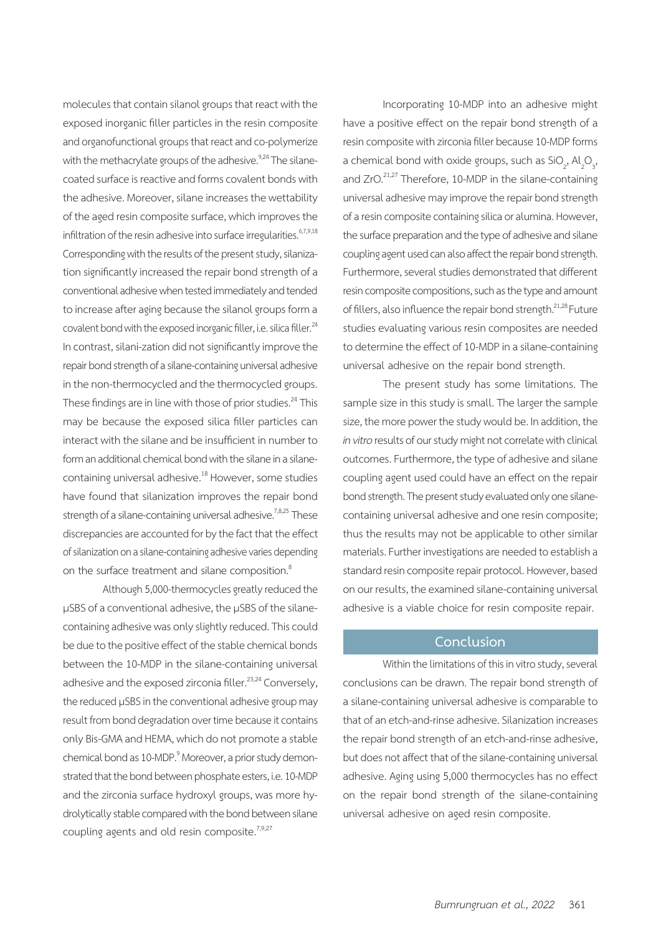molecules that contain silanol groups that react with the exposed inorganic filler particles in the resin composite and organofunctional groups that react and co-polymerize with the methacrylate groups of the adhesive.<sup>9,24</sup> The silanecoated surface is reactive and forms covalent bonds with the adhesive. Moreover, silane increases the wettability of the aged resin composite surface, which improves the infiltration of the resin adhesive into surface irregularities. $6,7,9,18$ Corresponding with the results of the present study, silanization significantly increased the repair bond strength of a conventional adhesive when tested immediately and tended to increase after aging because the silanol groups form a covalent bond with the exposed inorganic filler, i.e. silica filler.<sup>24</sup> In contrast, silani-zation did not significantly improve the repair bond strength of a silane-containing universal adhesive in the non-thermocycled and the thermocycled groups. These findings are in line with those of prior studies.<sup>24</sup> This may be because the exposed silica filler particles can interact with the silane and be insufficient in number to form an additional chemical bond with the silane in a silanecontaining universal adhesive.<sup>18</sup> However, some studies have found that silanization improves the repair bond strength of a silane-containing universal adhesive.<sup>7,8,25</sup> These discrepancies are accounted for by the fact that the effect of silanization on a silane-containing adhesive varies depending on the surface treatment and silane composition.<sup>8</sup>

Although 5,000-thermocycles greatly reduced the µSBS of a conventional adhesive, the µSBS of the silanecontaining adhesive was only slightly reduced. This could be due to the positive effect of the stable chemical bonds between the 10-MDP in the silane-containing universal adhesive and the exposed zirconia filler.<sup>23,24</sup> Conversely, the reduced µSBS in the conventional adhesive group may result from bond degradation over time because it contains only Bis-GMA and HEMA, which do not promote a stable chemical bond as 10-MDP.<sup>9</sup> Moreover, a prior study demonstrated that the bond between phosphate esters, i.e. 10-MDP and the zirconia surface hydroxyl groups, was more hydrolytically stable compared with the bond between silane coupling agents and old resin composite.<sup>7,9,27</sup>

Incorporating 10-MDP into an adhesive might have a positive effect on the repair bond strength of a resin composite with zirconia filler because 10-MDP forms a chemical bond with oxide groups, such as  $\text{SiO}_2^{\text{}}$ , Al<sub>2</sub>O<sub>3</sub>, and ZrO.<sup>21,27</sup> Therefore, 10-MDP in the silane-containing universal adhesive may improve the repair bond strength of a resin composite containing silica or alumina. However, the surface preparation and the type of adhesive and silane coupling agent used can also affect the repair bond strength. Furthermore, several studies demonstrated that different resin composite compositions, such as the type and amount of fillers, also influence the repair bond strength.<sup>21,28</sup> Future studies evaluating various resin composites are needed to determine the effect of 10-MDP in a silane-containing universal adhesive on the repair bond strength.

The present study has some limitations. The sample size in this study is small. The larger the sample size, the more power the study would be. In addition, the *in vitro* results of our study might not correlate with clinical outcomes. Furthermore, the type of adhesive and silane coupling agent used could have an effect on the repair bond strength. The present study evaluated only one silanecontaining universal adhesive and one resin composite; thus the results may not be applicable to other similar materials. Further investigations are needed to establish a standard resin composite repair protocol. However, based on our results, the examined silane-containing universal adhesive is a viable choice for resin composite repair.

#### **Conclusion**

Within the limitations of this in vitro study, several conclusions can be drawn. The repair bond strength of a silane-containing universal adhesive is comparable to that of an etch-and-rinse adhesive. Silanization increases the repair bond strength of an etch-and-rinse adhesive, but does not affect that of the silane-containing universal adhesive. Aging using 5,000 thermocycles has no effect on the repair bond strength of the silane-containing universal adhesive on aged resin composite.